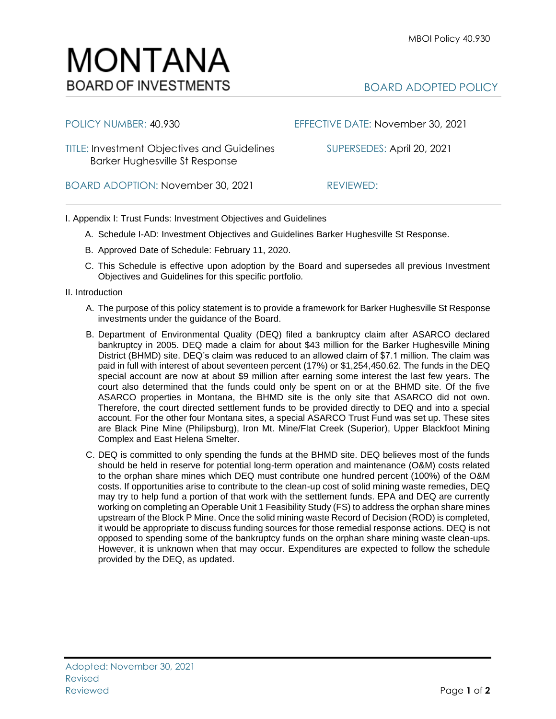BOARD ADOPTED POLICY

## POLICY NUMBER: 40.930 EFFECTIVE DATE: November 30, 2021 TITLE: Investment Objectives and Guidelines SUPERSEDES: April 20, 2021 Barker Hughesville St Response BOARD ADOPTION: November 30, 2021 REVIEWED:

I. Appendix I: Trust Funds: Investment Objectives and Guidelines

- A. Schedule I-AD: Investment Objectives and Guidelines Barker Hughesville St Response.
- B. Approved Date of Schedule: February 11, 2020.
- C. This Schedule is effective upon adoption by the Board and supersedes all previous Investment Objectives and Guidelines for this specific portfolio*.*
- II. Introduction
	- A. The purpose of this policy statement is to provide a framework for Barker Hughesville St Response investments under the guidance of the Board.
	- B. Department of Environmental Quality (DEQ) filed a bankruptcy claim after ASARCO declared bankruptcy in 2005. DEQ made a claim for about \$43 million for the Barker Hughesville Mining District (BHMD) site. DEQ's claim was reduced to an allowed claim of \$7.1 million. The claim was paid in full with interest of about seventeen percent (17%) or \$1,254,450.62. The funds in the DEQ special account are now at about \$9 million after earning some interest the last few years. The court also determined that the funds could only be spent on or at the BHMD site. Of the five ASARCO properties in Montana, the BHMD site is the only site that ASARCO did not own. Therefore, the court directed settlement funds to be provided directly to DEQ and into a special account. For the other four Montana sites, a special ASARCO Trust Fund was set up. These sites are Black Pine Mine (Philipsburg), Iron Mt. Mine/Flat Creek (Superior), Upper Blackfoot Mining Complex and East Helena Smelter.
	- C. DEQ is committed to only spending the funds at the BHMD site. DEQ believes most of the funds should be held in reserve for potential long-term operation and maintenance (O&M) costs related to the orphan share mines which DEQ must contribute one hundred percent (100%) of the O&M costs. If opportunities arise to contribute to the clean-up cost of solid mining waste remedies, DEQ may try to help fund a portion of that work with the settlement funds. EPA and DEQ are currently working on completing an Operable Unit 1 Feasibility Study (FS) to address the orphan share mines upstream of the Block P Mine. Once the solid mining waste Record of Decision (ROD) is completed, it would be appropriate to discuss funding sources for those remedial response actions. DEQ is not opposed to spending some of the bankruptcy funds on the orphan share mining waste clean-ups. However, it is unknown when that may occur. Expenditures are expected to follow the schedule provided by the DEQ, as updated.

## MONTANA **BOARD OF INVESTMENTS**